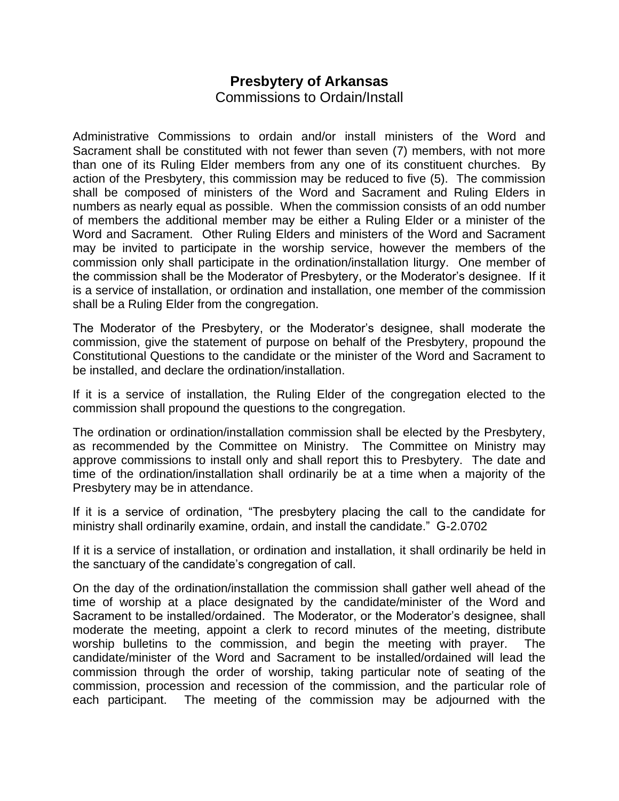## **Presbytery of Arkansas** Commissions to Ordain/Install

Administrative Commissions to ordain and/or install ministers of the Word and Sacrament shall be constituted with not fewer than seven (7) members, with not more than one of its Ruling Elder members from any one of its constituent churches. By action of the Presbytery, this commission may be reduced to five (5). The commission shall be composed of ministers of the Word and Sacrament and Ruling Elders in numbers as nearly equal as possible. When the commission consists of an odd number of members the additional member may be either a Ruling Elder or a minister of the Word and Sacrament. Other Ruling Elders and ministers of the Word and Sacrament may be invited to participate in the worship service, however the members of the commission only shall participate in the ordination/installation liturgy. One member of the commission shall be the Moderator of Presbytery, or the Moderator's designee. If it is a service of installation, or ordination and installation, one member of the commission shall be a Ruling Elder from the congregation.

The Moderator of the Presbytery, or the Moderator's designee, shall moderate the commission, give the statement of purpose on behalf of the Presbytery, propound the Constitutional Questions to the candidate or the minister of the Word and Sacrament to be installed, and declare the ordination/installation.

If it is a service of installation, the Ruling Elder of the congregation elected to the commission shall propound the questions to the congregation.

The ordination or ordination/installation commission shall be elected by the Presbytery, as recommended by the Committee on Ministry. The Committee on Ministry may approve commissions to install only and shall report this to Presbytery. The date and time of the ordination/installation shall ordinarily be at a time when a majority of the Presbytery may be in attendance.

If it is a service of ordination, "The presbytery placing the call to the candidate for ministry shall ordinarily examine, ordain, and install the candidate." G-2.0702

If it is a service of installation, or ordination and installation, it shall ordinarily be held in the sanctuary of the candidate's congregation of call.

On the day of the ordination/installation the commission shall gather well ahead of the time of worship at a place designated by the candidate/minister of the Word and Sacrament to be installed/ordained. The Moderator, or the Moderator's designee, shall moderate the meeting, appoint a clerk to record minutes of the meeting, distribute worship bulletins to the commission, and begin the meeting with prayer. The candidate/minister of the Word and Sacrament to be installed/ordained will lead the commission through the order of worship, taking particular note of seating of the commission, procession and recession of the commission, and the particular role of each participant. The meeting of the commission may be adjourned with the